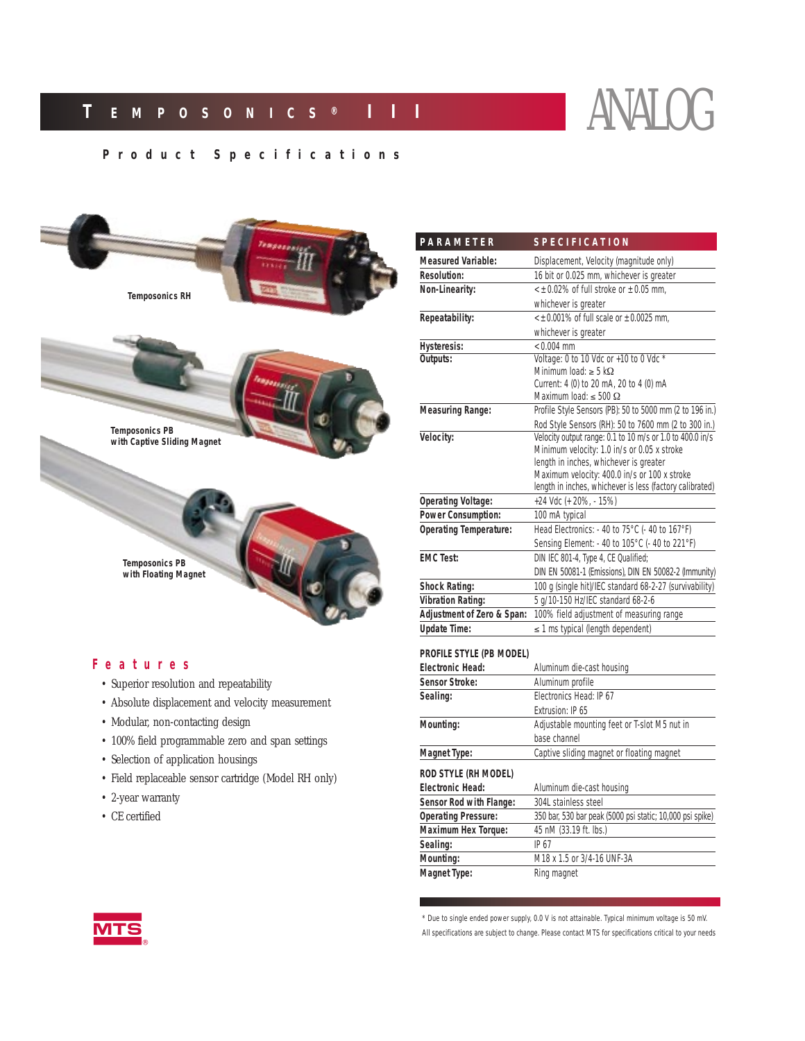# **Product Specifications**



### **Features**

- Superior resolution and repeatability
- Absolute displacement and velocity measurement
- Modular, non-contacting design
- 100% field programmable zero and span settings
- Selection of application housings
- Field replaceable sensor cartridge (Model RH only)
- 2-year warranty
- CE certified

| PARAMETER                     | <b>SPECIFICATION</b>                                      |  |  |
|-------------------------------|-----------------------------------------------------------|--|--|
| <b>Measured Variable:</b>     | Displacement, Velocity (magnitude only)                   |  |  |
| <b>Resolution:</b>            | 16 bit or 0.025 mm, whichever is greater                  |  |  |
| Non-Linearity:                | $\leq$ ± 0.02% of full stroke or $\pm$ 0.05 mm.           |  |  |
|                               | whichever is greater                                      |  |  |
| Repeatability:                | $\lt$ + 0.001% of full scale or $\pm$ 0.0025 mm.          |  |  |
|                               | whichever is greater                                      |  |  |
| <b>Hysteresis:</b>            | $< 0.004$ mm                                              |  |  |
| Outputs:                      | Voltage: 0 to 10 Vdc or +10 to 0 Vdc *                    |  |  |
|                               | Minimum load: $\geq$ 5 k $\Omega$                         |  |  |
|                               | Current: 4 (0) to 20 mA, 20 to 4 (0) mA                   |  |  |
|                               | Maximum load: $\leq 500 \Omega$                           |  |  |
| <b>Measuring Range:</b>       | Profile Style Sensors (PB): 50 to 5000 mm (2 to 196 in.)  |  |  |
|                               | Rod Style Sensors (RH): 50 to 7600 mm (2 to 300 in.)      |  |  |
| Velocity:                     | Velocity output range: 0.1 to 10 m/s or 1.0 to 400.0 in/s |  |  |
|                               | Minimum velocity: 1.0 in/s or 0.05 x stroke               |  |  |
|                               | length in inches, whichever is greater                    |  |  |
|                               | Maximum velocity: 400.0 in/s or 100 x stroke              |  |  |
|                               | length in inches, whichever is less (factory calibrated)  |  |  |
| <b>Operating Voltage:</b>     | +24 Vdc (+ 20%, - 15%)                                    |  |  |
| <b>Power Consumption:</b>     | 100 mA typical                                            |  |  |
| <b>Operating Temperature:</b> | Head Electronics: - 40 to 75°C (- 40 to 167°F)            |  |  |
|                               | Sensing Element: - 40 to 105°C (- 40 to 221°F)            |  |  |
| <b>EMC Test:</b>              | DIN IEC 801-4, Type 4, CE Qualified:                      |  |  |
|                               | DIN EN 50081-1 (Emissions), DIN EN 50082-2 (Immunity)     |  |  |
| <b>Shock Rating:</b>          | 100 g (single hit)/IEC standard 68-2-27 (survivability)   |  |  |
| <b>Vibration Rating:</b>      | 5 g/10-150 Hz/IEC standard 68-2-6                         |  |  |
| Adjustment of Zero & Span:    | 100% field adjustment of measuring range                  |  |  |
| <b>Update Time:</b>           | $\leq$ 1 ms typical (length dependent)                    |  |  |
|                               |                                                           |  |  |

#### **PROFILE STYLE (PB MODEL)**

| Electronic Head:           | Aluminum die-cast housing                                 |  |
|----------------------------|-----------------------------------------------------------|--|
| <b>Sensor Stroke:</b>      | Aluminum profile                                          |  |
| Sealing:                   | Flectronics Head: IP 67                                   |  |
|                            | <i><b>Fxtrusion: IP 65</b></i>                            |  |
| Mounting:                  | Adjustable mounting feet or T-slot M5 nut in              |  |
|                            | base channel                                              |  |
| <b>Magnet Type:</b>        | Captive sliding magnet or floating magnet                 |  |
| ROD STYLE (RH MODEL)       |                                                           |  |
| <b>Electronic Head:</b>    | Aluminum die-cast housing                                 |  |
| Sensor Rod with Flange:    | 304L stainless steel                                      |  |
| <b>Operating Pressure:</b> | 350 bar, 530 bar peak (5000 psi static; 10,000 psi spike) |  |
| <b>Maximum Hex Torque:</b> | 45 nM (33.19 ft. lbs.)                                    |  |
| Sealing:                   | IP 67                                                     |  |
| Mounting:                  | M18 x 1.5 or 3/4-16 UNF-3A                                |  |
| Magnet Type:               | Ring magnet                                               |  |

*\* Due to single ended power supply, 0.0 V is not attainable. Typical minimum voltage is 50 mV. All specifications are subject to change. Please contact MTS for specifications critical to your needs*

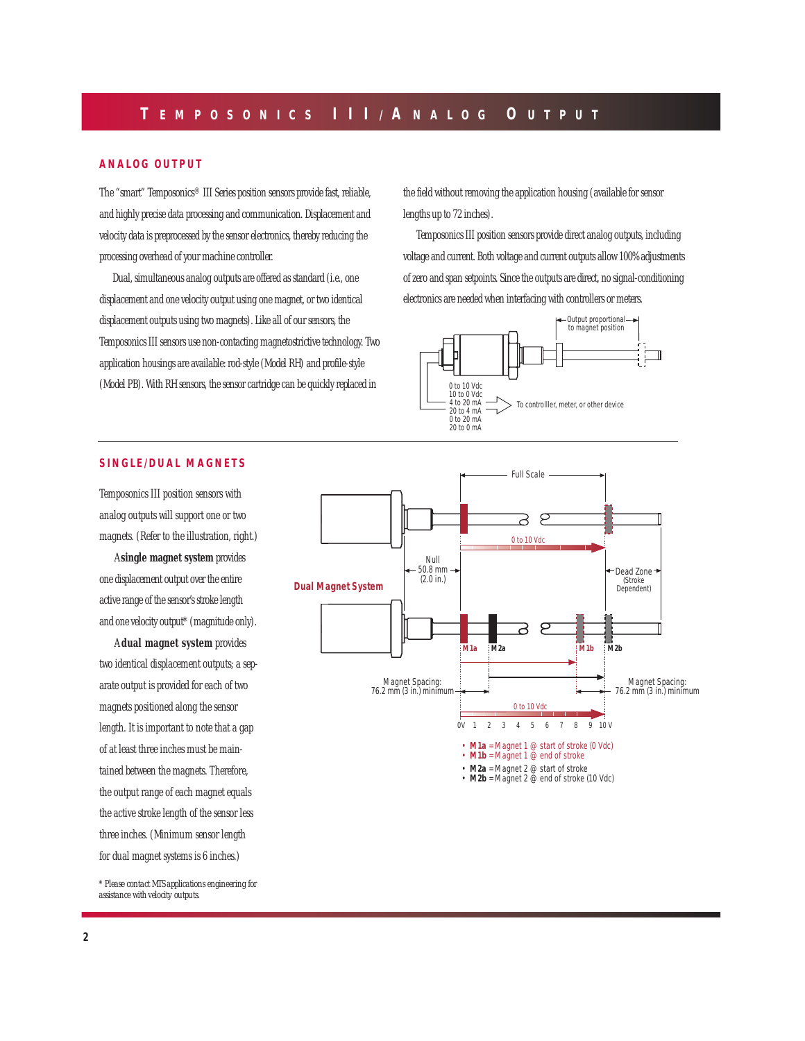### **ANALOG OUTPUT**

The "smart" Temposonics® III Series position sensors provide fast, reliable, and highly precise data processing and communication. Displacement and velocity data is preprocessed by the sensor electronics, thereby reducing the processing overhead of your machine controller.

Dual, simultaneous analog outputs are offered as standard (i.e., one displacement and one velocity output using one magnet, or two identical displacement outputs using two magnets). Like all of our sensors, the Temposonics III sensors use non-contacting magnetostrictive technology. Two application housings are available: rod-style (Model RH) and profile-style (Model PB). With RH sensors, the sensor cartridge can be quickly replaced in

the field without removing the application housing (available for sensor lengths up to 72 inches).

Temposonics III position sensors provide direct analog outputs, including voltage and current. Both voltage and current outputs allow 100% adjustments of zero and span setpoints. Since the outputs are direct, no signal-conditioning electronics are needed when interfacing with controllers or meters.



### **SINGLE/DUAL MAGNETS**

Temposonics III position sensors with analog outputs will support one or two magnets. (Refer to the illustration, right.)

A **single magnet system** provides one displacement output over the entire active range of the sensor's stroke length and one velocity output\* (magnitude only).

A **dual magnet system** provides two identical displacement outputs; a separate output is provided for each of two magnets positioned along the sensor length. It is important to note that a gap of at least three inches must be maintained between the magnets. Therefore, the output range of each magnet equals the active stroke length of the sensor less three inches. (Minimum sensor length for dual magnet systems is 6 inches.)

*\* Please contact MTS applications engineering for assistance with velocity outputs.*

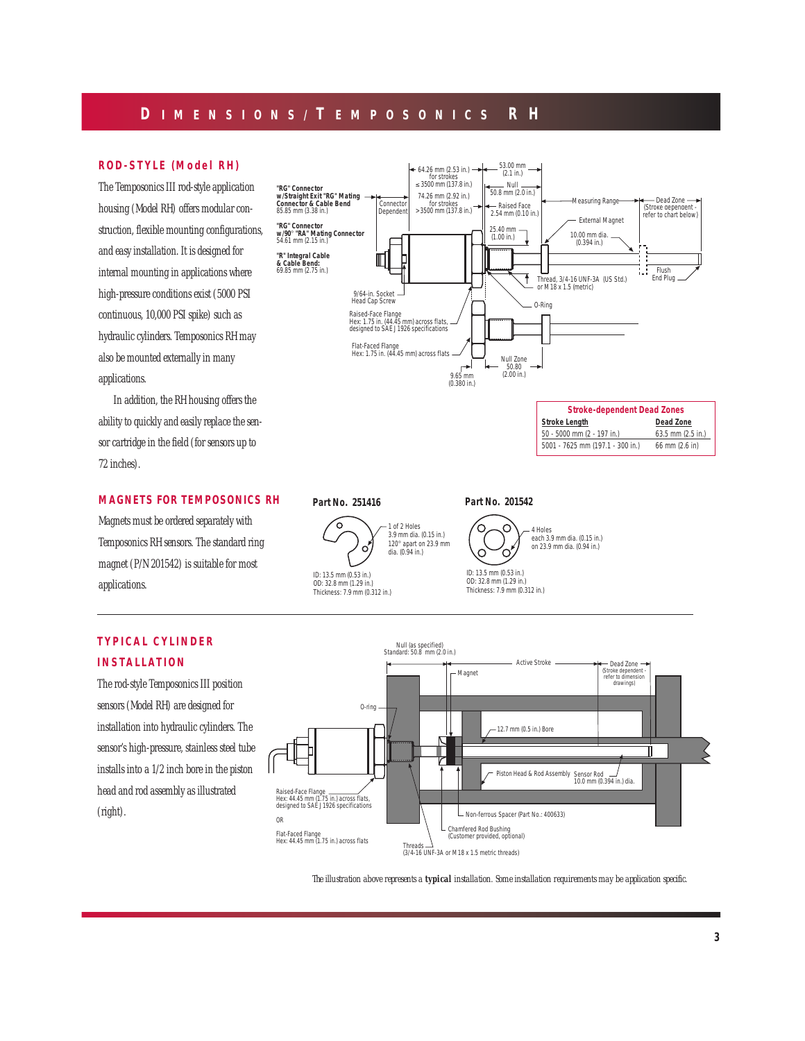# **D IMENSIONS/ T EMPOSONICS R H**

### **ROD-STYLE (Model RH)**

The Temposonics III rod-style application housing (Model RH) offers modular construction, flexible mounting configurations, and easy installation. It is designed for internal mounting in applications where high-pressure conditions exist (5000 PSI continuous, 10,000 PSI spike) such as hydraulic cylinders. Temposonics RH may also be mounted externally in many applications.

In addition, the RH housing offers the ability to quickly and easily replace the sensor cartridge in the field (for sensors up to 72 inches).

### **MAGNETS FOR TEMPOSONICS RH**

Magnets must be ordered separately with Temposonics RH sensors. The standard ring magnet (P/N 201542) is suitable for most applications.

## **TYPICAL CYLINDER INSTALLATION**

The rod-style Temposonics III position sensors (Model RH) are designed for installation into hydraulic cylinders. The sensor's high-pressure, stainless steel tube installs into a 1/2 inch bore in the piston head and rod assembly as illustrated (right).



**Part No. 201542**

**Part No. 251416**





*The illustration above represents a typical installation. Some installation requirements may be application specific.*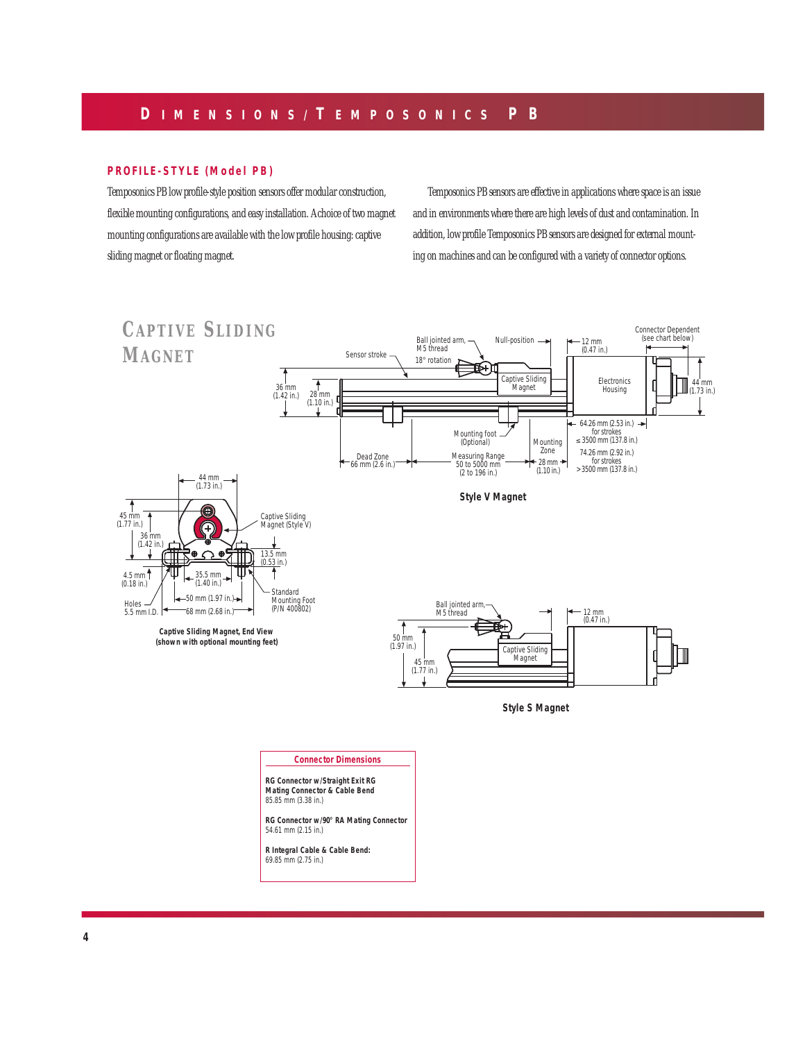### **PROFILE-STYLE (Model PB)**

Temposonics PB low profile-style position sensors offer modular construction, flexible mounting configurations, and easy installation. A choice of two magnet mounting configurations are available with the low profile housing: captive sliding magnet or floating magnet.

Temposonics PB sensors are effective in applications where space is an issue and in environments where there are high levels of dust and contamination. In addition, low profile Temposonics PB sensors are designed for external mounting on machines and can be configured with a variety of connector options.

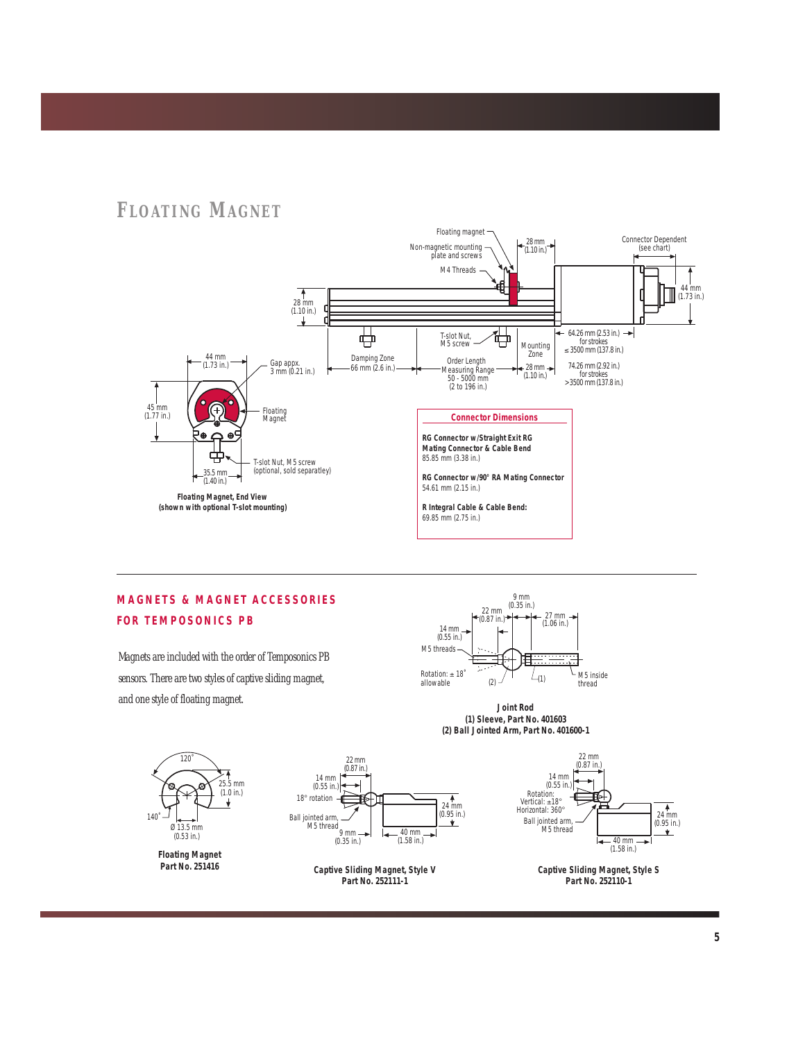# **F LOATING MAGNET**



# **MAGNETS & MAGNET ACCESSORIES FOR TEMPOSONICS PB**

Magnets are included with the order of Temposonics PB sensors. There are two styles of captive sliding magnet, and one style of floating magnet.



*Joint Rod (1) Sleeve, Part No. 401603 (2) Ball Jointed Arm, Part No. 401600-1*



*Floating Magnet Part No. 251416*







*Captive Sliding Magnet, Style S Part No. 252110-1*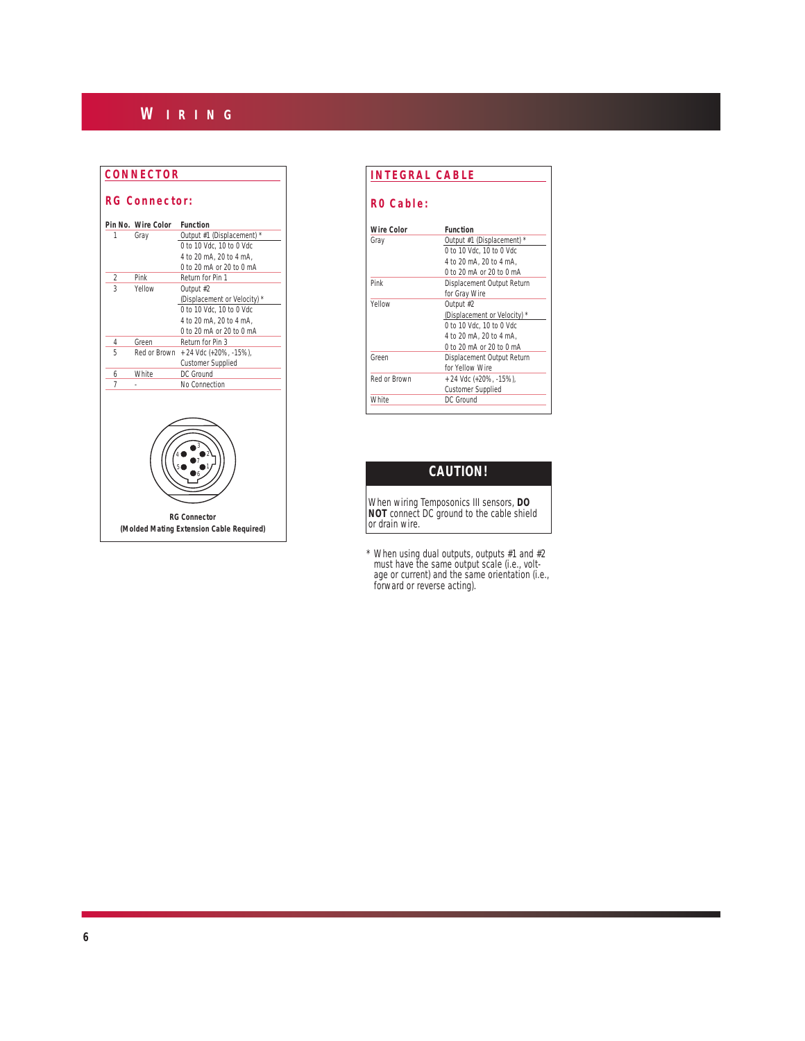# **W IRING**

### **CONNECTOR**

### **RG Connector:**

|                | <b>Pin No.</b> Wire Color | <b>Function</b>                                                 |  |  |  |
|----------------|---------------------------|-----------------------------------------------------------------|--|--|--|
| 1              | Gray                      | Output #1 (Displacement) *                                      |  |  |  |
|                |                           | 0 to 10 Vdc. 10 to 0 Vdc                                        |  |  |  |
|                |                           | 4 to 20 mA, 20 to 4 mA,                                         |  |  |  |
|                |                           | 0 to 20 mA or 20 to 0 mA                                        |  |  |  |
| 2              | Pink                      | Return for Pin 1                                                |  |  |  |
| $\overline{3}$ | Yellow                    | Output #2                                                       |  |  |  |
|                |                           | (Displacement or Velocity) *                                    |  |  |  |
|                |                           | 0 to 10 Vdc, 10 to 0 Vdc                                        |  |  |  |
|                |                           | 4 to 20 mA, 20 to 4 mA,                                         |  |  |  |
|                |                           | 0 to 20 mA or 20 to 0 mA                                        |  |  |  |
| 4              | Green                     | Return for Pin 3                                                |  |  |  |
| 5              | Red or Brown              | + 24 Vdc (+20%, -15%),                                          |  |  |  |
|                |                           | <b>Customer Supplied</b>                                        |  |  |  |
| 6              | <b>White</b>              | DC Ground                                                       |  |  |  |
| 7              |                           | No Connection                                                   |  |  |  |
|                |                           |                                                                 |  |  |  |
|                |                           | <b>RG Connector</b><br>(Molded Mating Extension Cable Required) |  |  |  |

| RO Cable:         |                              |
|-------------------|------------------------------|
| <b>Wire Color</b> | <b>Function</b>              |
| Gray              | Output #1 (Displacement) *   |
|                   | 0 to 10 Vdc, 10 to 0 Vdc     |
|                   | 4 to 20 mA, 20 to 4 mA.      |
|                   | 0 to 20 mA or 20 to 0 mA     |
| Pink              | Displacement Output Return   |
|                   | for Gray Wire                |
| Yellow            | Output #2                    |
|                   | (Displacement or Velocity) * |
|                   | 0 to 10 Vdc. 10 to 0 Vdc     |
|                   | 4 to 20 mA, 20 to 4 mA,      |
|                   | 0 to 20 mA or 20 to 0 mA     |
| Green             | Displacement Output Return   |
|                   | for Yellow Wire              |
| Red or Brown      | + 24 Vdc (+20%, -15%),       |
|                   | <b>Customer Supplied</b>     |
| <b>White</b>      | DC Ground                    |

# **CAUTION!**

*When wiring Temposonics III sensors, DO NOT connect DC ground to the cable shield or drain wire.*

*\* When using dual outputs, outputs #1 and #2 must have the same output scale (i.e., voltage or current) and the same orientation (i.e., forward or reverse acting).*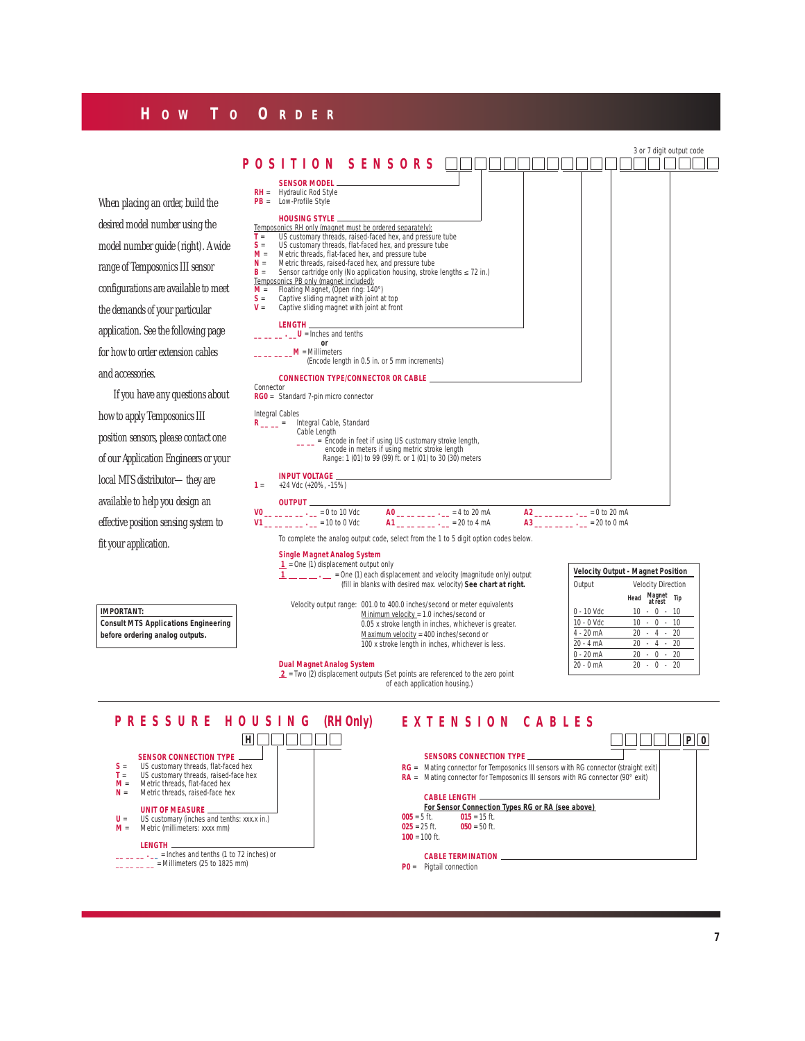### **H OW T O O RDER**

|                                                                  | 3 or 7 digit output code                                                                                                                                                                                                                                        |  |  |  |  |  |
|------------------------------------------------------------------|-----------------------------------------------------------------------------------------------------------------------------------------------------------------------------------------------------------------------------------------------------------------|--|--|--|--|--|
|                                                                  | POSITION SENSORS                                                                                                                                                                                                                                                |  |  |  |  |  |
|                                                                  | <b>SENSOR MODEL</b>                                                                                                                                                                                                                                             |  |  |  |  |  |
| When placing an order, build the                                 | Hydraulic Rod Style<br>$RH =$<br>$PB =$ Low-Profile Style                                                                                                                                                                                                       |  |  |  |  |  |
| desired model number using the                                   | <b>HOUSING STYLE __</b><br>Temposonics RH only (magnet must be ordered separately):                                                                                                                                                                             |  |  |  |  |  |
| model number guide (right). A wide                               | US customary threads, raised-faced hex, and pressure tube<br>$T =$<br>US customary threads, flat-faced hex, and pressure tube<br>$S =$                                                                                                                          |  |  |  |  |  |
| range of Temposonics III sensor                                  | Metric threads, flat-faced hex, and pressure tube<br>$M =$<br>Metric threads, raised-faced hex, and pressure tube<br>$N =$<br>Sensor cartridge only (No application housing, stroke lengths ≤ 72 in.)<br>$B =$                                                  |  |  |  |  |  |
| configurations are available to meet                             | Temposonics PB only (magnet included):<br>Floating Magnet, (Open ring: 140°)<br>$M =$                                                                                                                                                                           |  |  |  |  |  |
| the demands of your particular                                   | Captive sliding magnet with joint at top<br>$S =$<br>Captive sliding magnet with joint at front<br>$V =$                                                                                                                                                        |  |  |  |  |  |
| application. See the following page                              | LENGTH <b>Andrew Property</b><br>$\mathbf{U}$ = Inches and tenths                                                                                                                                                                                               |  |  |  |  |  |
| for how to order extension cables                                | or<br>$M =$ Millimeters                                                                                                                                                                                                                                         |  |  |  |  |  |
| and accessories.                                                 | (Encode length in 0.5 in. or 5 mm increments)<br>CONNECTION TYPE/CONNECTOR OR CABLE                                                                                                                                                                             |  |  |  |  |  |
| If you have any questions about                                  | Connector<br>RG0 = Standard 7-pin micro connector                                                                                                                                                                                                               |  |  |  |  |  |
| how to apply Temposonics III                                     | Integral Cables                                                                                                                                                                                                                                                 |  |  |  |  |  |
| position sensors, please contact one                             | R __ _ = Integral Cable, Standard<br>Cable Length<br>__ _ = Encode in feet if using US customary stroke length,                                                                                                                                                 |  |  |  |  |  |
| of our Application Engineers or your                             | encode in meters if using metric stroke length<br>Range: 1 (01) to 99 (99) ft. or 1 (01) to 30 (30) meters                                                                                                                                                      |  |  |  |  |  |
| local MTS distributor-they are                                   | <b>INPUT VOLTAGE _</b>                                                                                                                                                                                                                                          |  |  |  |  |  |
| available to help you design an                                  | +24 Vdc (+20%, -15%)<br>$1 =$<br>OUTPUT                                                                                                                                                                                                                         |  |  |  |  |  |
| effective position sensing system to                             | $A0$ __ _ _ _ _ _ - _ = 4 to 20 mA<br>$A2$ __ __ __ _ _ - _ = 0 to 20 mA<br>$V0$ __ _ _ _ _ . _ = 0 to 10 Vdc<br>$A1$ __ _ _ _ _ _ . _ = 20 to 4 mA<br>$V1$ __ _ _ _ _ . _ = 10 to 0 Vdc<br>$A3$ __ _ _ _ _ . _ = 20 to 0 mA                                    |  |  |  |  |  |
|                                                                  | To complete the analog output code, select from the 1 to 5 digit option codes below.                                                                                                                                                                            |  |  |  |  |  |
| fit your application.                                            | <b>Single Magnet Analog System</b><br>$\mathbf{1}$ = One (1) displacement output only<br><b>Velocity Output - Magnet Position</b>                                                                                                                               |  |  |  |  |  |
|                                                                  | $1 \_ \_ \_ \_ \_$ = One (1) each displacement and velocity (magnitude only) output<br>(fill in blanks with desired max. velocity) See chart at right.<br>Output<br><b>Velocity Direction</b>                                                                   |  |  |  |  |  |
| <b>IMPORTANT:</b><br><b>Consult MTS Applications Engineering</b> | Head Magnet Tip<br>Velocity output range: 001.0 to 400.0 inches/second or meter equivalents<br>$0 - 10$ Vdc<br>$10 - 0 - 10$<br>Minimum velocity = 1.0 inches/second or<br>$10 - 0 - 10$<br>10 - 0 Vdc<br>0.05 x stroke length in inches, whichever is greater. |  |  |  |  |  |
| before ordering analog outputs.                                  | 4 - 20 mA<br>$20 - 4 - 20$<br>Maximum velocity = 400 inches/second or<br>$20 - 4 - 20$<br>$20 - 4 mA$<br>100 x stroke length in inches, whichever is less.                                                                                                      |  |  |  |  |  |

### **Dual Magnet Analog System**

 **2** = Two (2) displacement outputs (Set points are referenced to the zero point of each application housing.)

| Output        | <b>Velocity Direction</b> |  |                   |    |     |
|---------------|---------------------------|--|-------------------|----|-----|
|               | Head                      |  | Magnet<br>at rest |    | Tip |
| 0 - 10 Vdc    | 10                        |  | U                 |    | 10  |
| $10 - 0$ Vdc. | 10                        |  | U                 |    | 10  |
| 4 - 20 mA     | 20                        |  | 4                 |    | 20  |
| $20 - 4 mA$   | 20                        |  | $\overline{A}$    |    | 20  |
| $0 - 20$ mA   | 20                        |  | Ω                 |    | 20  |
| $20 - 0$ mA   | 20                        |  | U                 | ÷. | 20  |

# **SENSOR CONNECTION TYPE S** = US customary threads, flat-faced hex **T** = US customary threads, raised-face hex **M** = Metric threads, flat-faced hex **N** = Metric threads, raised-face hex **UNIT OF MEASURE U** = US customary (inches and tenths: xxx.x in.) **M** = Metric (millimeters: xxxx mm) **LENGTH**<br> **\_\_ \_\_ \_\_ .** \_\_ = Inches and tenths (1 to 72 inches) or<br>
\_\_ \_\_ \_\_ = Millimeters (25 to 1825 mm) **PRESSURE HOUSING (RH Only)**

### **EXTENSION CABLES**